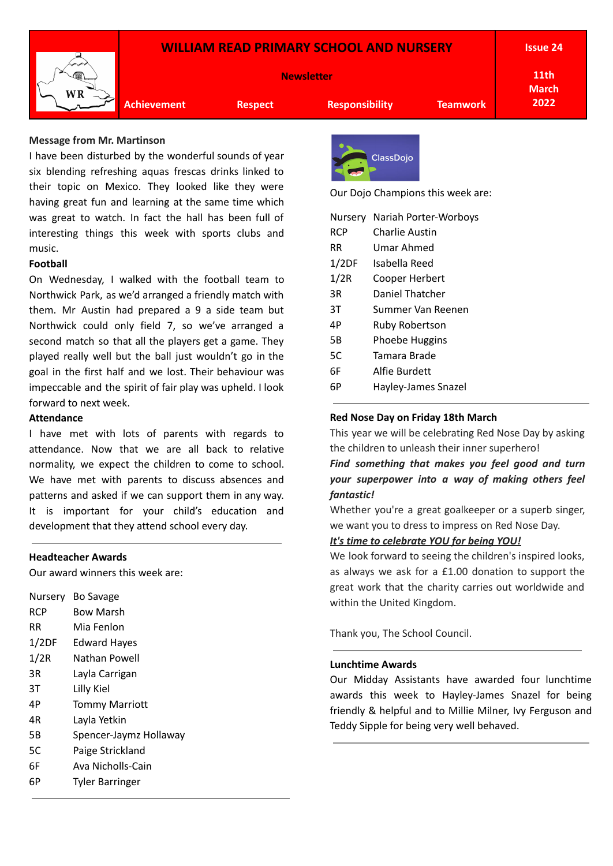# **WILLIAM READ PRIMARY SCHOOL AND NURSERY**



**Newsletter**

**Issue 24**

**11th March 2022**

**Achievement Respect Responsibility Teamwork**

### **Message from Mr. Martinson**

I have been disturbed by the wonderful sounds of year six blending refreshing aquas frescas drinks linked to their topic on Mexico. They looked like they were having great fun and learning at the same time which was great to watch. In fact the hall has been full of interesting things this week with sports clubs and music.

## **Football**

On Wednesday, I walked with the football team to Northwick Park, as we'd arranged a friendly match with them. Mr Austin had prepared a 9 a side team but Northwick could only field 7, so we've arranged a second match so that all the players get a game. They played really well but the ball just wouldn't go in the goal in the first half and we lost. Their behaviour was impeccable and the spirit of fair play was upheld. I look forward to next week.

## **Attendance**

I have met with lots of parents with regards to attendance. Now that we are all back to relative normality, we expect the children to come to school. We have met with parents to discuss absences and patterns and asked if we can support them in any way. It is important for your child's education and development that they attend school every day.

### **Headteacher Awards**

Our award winners this week are:

| Nursery    | Bo Savage              |
|------------|------------------------|
| <b>RCP</b> | Bow Marsh              |
| RR         | Mia Fenlon             |
| 1/2DF      | <b>Edward Hayes</b>    |
| 1/2R       | Nathan Powell          |
| 3R         | Layla Carrigan         |
| 3Т         | Lilly Kiel             |
| 4Р         | <b>Tommy Marriott</b>  |
| 4R         | Layla Yetkin           |
| 5Β         | Spencer-Jaymz Hollaway |
| 5C         | Paige Strickland       |
| 6F         | Ava Nicholls-Cain      |
| 6P         | <b>Tyler Barringer</b> |
|            |                        |



Our Dojo Champions this week are:

| Nurserv    | Nariah Porter-Worboys |  |  |
|------------|-----------------------|--|--|
| <b>RCP</b> | Charlie Austin        |  |  |
| RR         | Umar Ahmed            |  |  |
| 1/2DF      | Isabella Reed         |  |  |
| 1/2R       | Cooper Herbert        |  |  |
| ЗR         | Daniel Thatcher       |  |  |
| ЗT         | Summer Van Reenen     |  |  |
| 4Р         | Ruby Robertson        |  |  |
| 5Β         | Phoebe Huggins        |  |  |
| 5C         | Tamara Brade          |  |  |
| 6F         | Alfie Burdett         |  |  |
| 6Р         | Hayley-James Snazel   |  |  |
|            |                       |  |  |

## **Red Nose Day on Friday 18th March**

This year we will be celebrating Red Nose Day by asking the children to unleash their inner superhero!

*Find something that makes you feel good and turn your superpower into a way of making others feel fantastic!*

Whether you're a great goalkeeper or a superb singer, we want you to dress to impress on Red Nose Day.

# *It's time to celebrate YOU for being YOU!*

We look forward to seeing the children's inspired looks, as always we ask for a £1.00 donation to support the great work that the charity carries out worldwide and within the United Kingdom.

Thank you, The School Council.

### **Lunchtime Awards**

Our Midday Assistants have awarded four lunchtime awards this week to Hayley-James Snazel for being friendly & helpful and to Millie Milner, Ivy Ferguson and Teddy Sipple for being very well behaved.